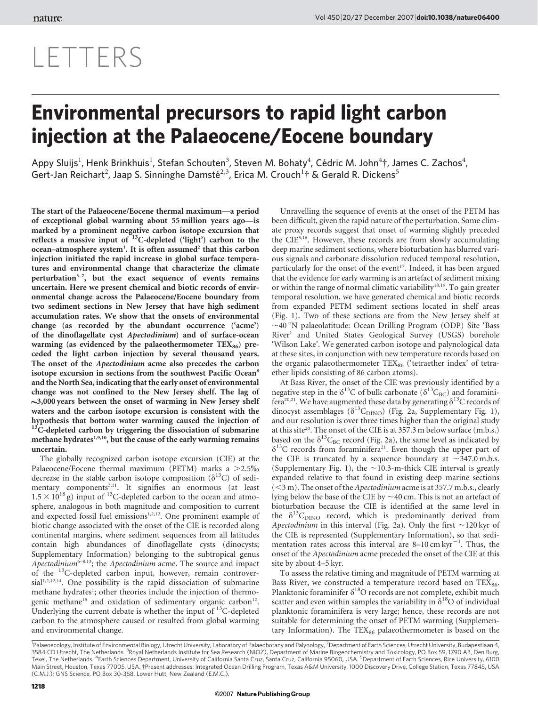# LETTERS

## Environmental precursors to rapid light carbon injection at the Palaeocene/Eocene boundary

Appy Sluijs<sup>1</sup>, Henk Brinkhuis<sup>1</sup>, Stefan Schouten<sup>3</sup>, Steven M. Bohaty<sup>4</sup>, Cédric M. John<sup>4</sup>†, James C. Zachos<sup>4</sup>, Gert-Jan Reichart<sup>2</sup>, Jaap S. Sinninghe Damsté<sup>2,3</sup>, Erica M. Crouch<sup>1</sup>† & Gerald R. Dickens<sup>5</sup>

The start of the Palaeocene/Eocene thermal maximum—a period of exceptional global warming about 55 million years ago—is marked by a prominent negative carbon isotope excursion that reflects a massive input of  $^{13}$ C-depleted ('light') carbon to the ocean-atmosphere system<sup>1</sup>. It is often assumed<sup>2</sup> that this carbon injection initiated the rapid increase in global surface temperatures and environmental change that characterize the climate perturbation<sup>3-7</sup>, but the exact sequence of events remains uncertain. Here we present chemical and biotic records of environmental change across the Palaeocene/Eocene boundary from two sediment sections in New Jersey that have high sediment accumulation rates. We show that the onsets of environmental change (as recorded by the abundant occurrence ('acme') of the dinoflagellate cyst Apectodinium) and of surface-ocean warming (as evidenced by the palaeothermometer  $TEX_{86}$ ) preceded the light carbon injection by several thousand years. The onset of the Apectodinium acme also precedes the carbon isotope excursion in sections from the southwest Pacific Ocean<sup>8</sup> and the North Sea, indicating that the early onset of environmental change was not confined to the New Jersey shelf. The lag of  $\sim$ 3,000 years between the onset of warming in New Jersey shelf waters and the carbon isotope excursion is consistent with the hypothesis that bottom water warming caused the injection of  $13^{\circ}$ C-depleted carbon by triggering the dissociation of submarine methane hydrates $1,9,10$ , but the cause of the early warming remains uncertain.

The globally recognized carbon isotope excursion (CIE) at the Palaeocene/Eocene thermal maximum (PETM) marks a  $>2.5\%$ decrease in the stable carbon isotope composition  $(\delta^{13}C)$  of sedimentary components<sup>3,11</sup>. It signifies an enormous (at least  $1.5 \times 10^{18}$  g) input of <sup>13</sup>C-depleted carbon to the ocean and atmosphere, analogous in both magnitude and composition to current and expected fossil fuel emissions<sup>1,2,12</sup>. One prominent example of biotic change associated with the onset of the CIE is recorded along continental margins, where sediment sequences from all latitudes contain high abundances of dinoflagellate cysts (dinocysts; Supplementary Information) belonging to the subtropical genus Apectodinium<sup>6–8,13</sup>; the Apectodinium acme. The source and impact of the 13C-depleted carbon input, however, remain controversial<sup>1,2,12,14</sup>. One possibility is the rapid dissociation of submarine methane hydrates<sup>1</sup>; other theories include the injection of thermogenic methane<sup>15</sup> and oxidation of sedimentary organic carbon<sup>12</sup>. Underlying the current debate is whether the input of <sup>13</sup>C-depleted carbon to the atmosphere caused or resulted from global warming and environmental change.

Unravelling the sequence of events at the onset of the PETM has been difficult, given the rapid nature of the perturbation. Some climate proxy records suggest that onset of warming slightly preceded the CIE5,16. However, these records are from slowly accumulating deep marine sediment sections, where bioturbation has blurred various signals and carbonate dissolution reduced temporal resolution, particularly for the onset of the event<sup>17</sup>. Indeed, it has been argued that the evidence for early warming is an artefact of sediment mixing or within the range of normal climatic variability<sup>18,19</sup>. To gain greater temporal resolution, we have generated chemical and biotic records from expanded PETM sediment sections located in shelf areas (Fig. 1). Two of these sections are from the New Jersey shelf at  $\sim$ 40 °N palaeolatitude: Ocean Drilling Program (ODP) Site 'Bass River' and United States Geological Survey (USGS) borehole 'Wilson Lake'. We generated carbon isotope and palynological data at these sites, in conjunction with new temperature records based on the organic palaeothermometer  $TEX_{86}$  ('tetraether index' of tetraether lipids consisting of 86 carbon atoms).

At Bass River, the onset of the CIE was previously identified by a negative step in the  $\delta^{13}C$  of bulk carbonate ( $\delta^{13}C_{BC}$ ) and foraminifera<sup>20,21</sup>. We have augmented these data by generating  $\delta^{13}$ C records of dinocyst assemblages ( $\delta^{13}C_{\text{DINO}}$ ) (Fig. 2a, Supplementary Fig. 1), and our resolution is over three times higher than the original study at this site<sup>20</sup>. The onset of the CIE is at 357.3 m below surface (m.b.s.) based on the  $\delta^{13}C_{BC}$  record (Fig. 2a), the same level as indicated by  $\delta^{13}$ C records from foraminifera<sup>21</sup>. Even though the upper part of the CIE is truncated by a sequence boundary at  $\sim$ 347.0 m.b.s. (Supplementary Fig. 1), the  $\sim$ 10.3-m-thick CIE interval is greatly expanded relative to that found in existing deep marine sections  $(<$ 3 m). The onset of the *Apectodinium* acme is at 357.7 m.b.s., clearly lying below the base of the CIE by  $\sim$ 40 cm. This is not an artefact of bioturbation because the CIE is identified at the same level in the  $\delta^{13}C_{\text{DINO}}$  record, which is predominantly derived from Apectodinium in this interval (Fig. 2a). Only the first  $\sim$ 120 kyr of the CIE is represented (Supplementary Information), so that sedimentation rates across this interval are  $8-10 \text{ cm kyr}^{-1}$ . Thus, the onset of the Apectodinium acme preceded the onset of the CIE at this site by about 4–5 kyr.

To assess the relative timing and magnitude of PETM warming at Bass River, we constructed a temperature record based on TEX86. Planktonic foraminifer  $\delta^{18}O$  records are not complete, exhibit much scatter and even within samples the variability in  $\delta^{18}O$  of individual planktonic foraminifera is very large; hence, these records are not suitable for determining the onset of PETM warming (Supplementary Information). The TEX $_{86}$  palaeothermometer is based on the

<sup>&</sup>lt;sup>1</sup>Palaeoecology, Institute of Environmental Biology, Utrecht University, Laboratory of Palaeobotany and Palynology, <sup>2</sup>Department of Earth Sciences, Utrecht University, Budapestlaan 4, 3584 CD Utrecht, The Netherlands. <sup>3</sup>Royal Netherlands Institute for Sea Research (NIOZ), Department of Marine Biogeochemistry and Toxicology, PO Box 59, 1790 AB, Den Burg, Texel, The Netherlands. <sup>4</sup>Earth Sciences Department, University of California Santa Cruz, Santa Cruz, California 95060, USA. <sup>5</sup>Department of Earth Sciences, Rice University, 6100 Main Street, Houston, Texas 77005, USA. {Present addresses: Integrated Ocean Drilling Program, Texas A&M University, 1000 Discovery Drive, College Station, Texas 77845, USA (C.M.J.); GNS Science, PO Box 30-368, Lower Hutt, New Zealand (E.M.C.).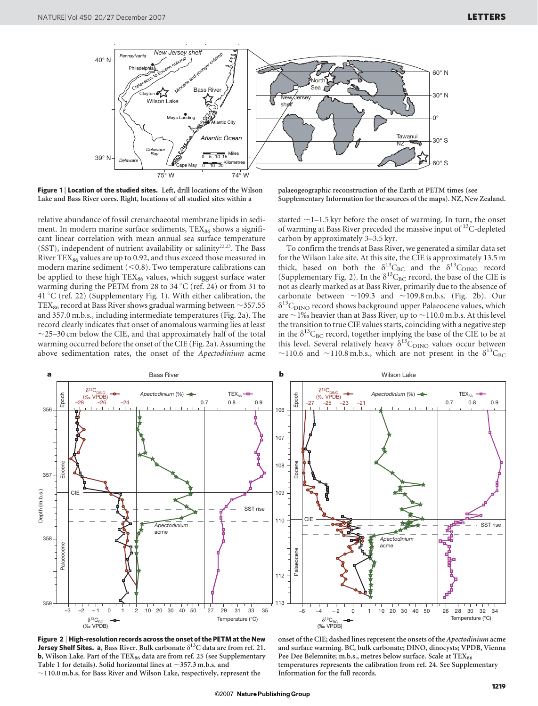

Figure 1 | Location of the studied sites. Left, drill locations of the Wilson Lake and Bass River cores. Right, locations of all studied sites within a

relative abundance of fossil crenarchaeotal membrane lipids in sediment. In modern marine surface sediments,  $\text{TEX}_{86}$  shows a significant linear correlation with mean annual sea surface temperature (SST), independent of nutrient availability or salinity<sup>22,23</sup>. The Bass River  $TEX_{86}$  values are up to 0.92, and thus exceed those measured in modern marine sediment  $(< 0.8$ ). Two temperature calibrations can be applied to these high TEX $_{86}$  values, which suggest surface water warming during the PETM from 28 to 34  $\degree$ C (ref. 24) or from 31 to 41 °C (ref. 22) (Supplementary Fig. 1). With either calibration, the TEX<sub>86</sub> record at Bass River shows gradual warming between  $\sim$ 357.55 and 357.0 m.b.s., including intermediate temperatures (Fig. 2a). The record clearly indicates that onset of anomalous warming lies at least  $\sim$ 25–30 cm below the CIE, and that approximately half of the total warming occurred before the onset of the CIE (Fig. 2a). Assuming the above sedimentation rates, the onset of the Apectodinium acme

palaeogeographic reconstruction of the Earth at PETM times (see Supplementary Information for the sources of the maps). NZ, New Zealand.

started  $\sim$  1–1.5 kyr before the onset of warming. In turn, the onset of warming at Bass River preceded the massive input of <sup>13</sup>C-depleted carbon by approximately 3–3.5 kyr.

To confirm the trends at Bass River, we generated a similar data set for the Wilson Lake site. At this site, the CIE is approximately 13.5 m thick, based on both the  $\delta^{13}C_{BC}$  and the  $\delta^{13}C_{DINO}$  record (Supplementary Fig. 2). In the  $\delta^{13}C_{BC}$  record, the base of the CIE is not as clearly marked as at Bass River, primarily due to the absence of carbonate between  $\sim$ 109.3 and  $\sim$ 109.8 m.b.s. (Fig. 2b). Our  $\delta^{13}C_{\text{DINO}}$  record shows background upper Palaeocene values, which are  $\sim$ 1% heavier than at Bass River, up to  $\sim$ 110.0 m.b.s. At this level the transition to true CIE values starts, coinciding with a negative step in the  $\delta^{13}C_{BC}$  record, together implying the base of the CIE to be at this level. Several relatively heavy  $\delta^{13}$ C<sub>DINO</sub> values occur between ~110.6 and ~110.8 m.b.s., which are not present in the  $\delta^{13}C_{BC}$ 



Figure 2 <sup>|</sup> High-resolution records across the onset of the PETM at the New **Jersey Shelf Sites. a, Bass River. Bulk carbonate**  $\delta^{13}$ **C data are from ref. 21. b**, Wilson Lake. Part of the TEX $_{86}$  data are from ref. 25 (see Supplementary Table 1 for details). Solid horizontal lines at  $\sim$ 357.3 m.b.s. and  $\sim$ 110.0 m.b.s. for Bass River and Wilson Lake, respectively, represent the

onset of the CIE; dashed lines represent the onsets of the Apectodinium acme and surface warming. BC, bulk carbonate; DINO, dinocysts; VPDB, Vienna Pee Dee Belemnite; m.b.s., metres below surface. Scale at TEX86 temperatures represents the calibration from ref. 24. See Supplementary Information for the full records.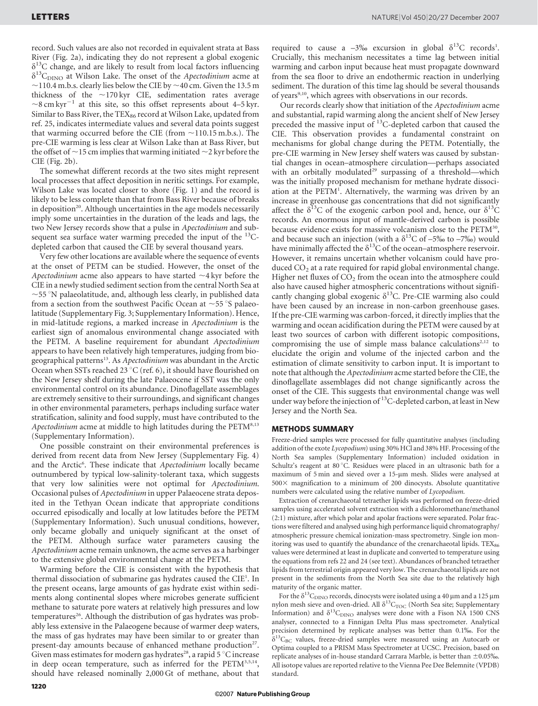record. Such values are also not recorded in equivalent strata at Bass River (Fig. 2a), indicating they do not represent a global exogenic  $\delta^{13}$ C change, and are likely to result from local factors influencing  $\delta^{13}C_{\text{DINO}}$  at Wilson Lake. The onset of the Apectodinium acme at  $\sim$ 110.4 m.b.s. clearly lies below the CIE by  $\sim$ 40 cm. Given the 13.5 m thickness of the  $\sim$ 170 kyr CIE, sedimentation rates average  $\sim$ 8 cm kyr<sup>-1</sup> at this site, so this offset represents about 4–5 kyr. Similar to Bass River, the TEX $_{86}$  record at Wilson Lake, updated from ref. 25, indicates intermediate values and several data points suggest that warming occurred before the CIE (from  $\sim$ 110.15 m.b.s.). The pre-CIE warming is less clear at Wilson Lake than at Bass River, but the offset of  $\sim$ 15 cm implies that warming initiated  $\sim$ 2 kyr before the CIE (Fig. 2b).

The somewhat different records at the two sites might represent local processes that affect deposition in neritic settings. For example, Wilson Lake was located closer to shore (Fig. 1) and the record is likely to be less complete than that from Bass River because of breaks in deposition<sup>20</sup>. Although uncertainties in the age models necessarily imply some uncertainties in the duration of the leads and lags, the two New Jersey records show that a pulse in Apectodinium and subsequent sea surface water warming preceded the input of the  $^{13}$ Cdepleted carbon that caused the CIE by several thousand years.

Very few other locations are available where the sequence of events at the onset of PETM can be studied. However, the onset of the Apectodinium acme also appears to have started  $\sim$ 4 kyr before the CIE in a newly studied sediment section from the central North Sea at  $\sim$ 55 °N palaeolatitude, and, although less clearly, in published data from a section from the southwest Pacific Ocean at  $\sim$  55 °S palaeolatitude (Supplementary Fig. 3; Supplementary Information). Hence, in mid-latitude regions, a marked increase in Apectodinium is the earliest sign of anomalous environmental change associated with the PETM. A baseline requirement for abundant Apectodinium appears to have been relatively high temperatures, judging from biogeographical patterns<sup>13</sup>. As *Apectodinium* was abundant in the Arctic Ocean when SSTs reached 23 °C (ref. 6), it should have flourished on the New Jersey shelf during the late Palaeocene if SST was the only environmental control on its abundance. Dinoflagellate assemblages are extremely sensitive to their surroundings, and significant changes in other environmental parameters, perhaps including surface water stratification, salinity and food supply, must have contributed to the Apectodinium acme at middle to high latitudes during the  $PETM<sup>8,13</sup>$ (Supplementary Information).

One possible constraint on their environmental preferences is derived from recent data from New Jersey (Supplementary Fig. 4) and the Arctic<sup>6</sup>. These indicate that Apectodinium locally became outnumbered by typical low-salinity-tolerant taxa, which suggests that very low salinities were not optimal for Apectodinium. Occasional pulses of Apectodinium in upper Palaeocene strata deposited in the Tethyan Ocean indicate that appropriate conditions occurred episodically and locally at low latitudes before the PETM (Supplementary Information). Such unusual conditions, however, only became globally and uniquely significant at the onset of the PETM. Although surface water parameters causing the Apectodinium acme remain unknown, the acme serves as a harbinger to the extensive global environmental change at the PETM.

Warming before the CIE is consistent with the hypothesis that thermal dissociation of submarine gas hydrates caused the CIE<sup>1</sup>. In the present oceans, large amounts of gas hydrate exist within sediments along continental slopes where microbes generate sufficient methane to saturate pore waters at relatively high pressures and low temperatures<sup>26</sup>. Although the distribution of gas hydrates was probably less extensive in the Palaeogene because of warmer deep waters, the mass of gas hydrates may have been similar to or greater than present-day amounts because of enhanced methane production<sup>27</sup>. Given mass estimates for modern gas hydrates<sup>28</sup>, a rapid 5 °C increase in deep ocean temperature, such as inferred for the PETM<sup>3,5,14</sup>, should have released nominally 2,000 Gt of methane, about that required to cause a  $-3\%$  excursion in global  $\delta^{13}C$  records<sup>1</sup>. Crucially, this mechanism necessitates a time lag between initial warming and carbon input because heat must propagate downward from the sea floor to drive an endothermic reaction in underlying sediment. The duration of this time lag should be several thousands of years<sup>9,10</sup>, which agrees with observations in our records.

Our records clearly show that initiation of the Apectodinium acme and substantial, rapid warming along the ancient shelf of New Jersey preceded the massive input of 13C-depleted carbon that caused the CIE. This observation provides a fundamental constraint on mechanisms for global change during the PETM. Potentially, the pre-CIE warming in New Jersey shelf waters was caused by substantial changes in ocean–atmosphere circulation—perhaps associated with an orbitally modulated<sup>29</sup> surpassing of a threshold—which was the initially proposed mechanism for methane hydrate dissociation at the PETM<sup>1</sup>. Alternatively, the warming was driven by an increase in greenhouse gas concentrations that did not significantly affect the  $\delta^{13}$ C of the exogenic carbon pool and, hence, our  $\delta^{13}$ C records. An enormous input of mantle-derived carbon is possible because evidence exists for massive volcanism close to the PETM<sup>30</sup>, and because such an injection (with a  $\delta^{13}$ C of –5% to –7%) would have minimally affected the  $\delta^{13}$ C of the ocean–atmosphere reservoir. However, it remains uncertain whether volcanism could have produced  $CO<sub>2</sub>$  at a rate required for rapid global environmental change. Higher net fluxes of  $CO<sub>2</sub>$  from the ocean into the atmosphere could also have caused higher atmospheric concentrations without significantly changing global exogenic  $\delta^{13}$ C. Pre-CIE warming also could have been caused by an increase in non-carbon greenhouse gases. If the pre-CIE warming was carbon-forced, it directly implies that the warming and ocean acidification during the PETM were caused by at least two sources of carbon with different isotopic compositions, compromising the use of simple mass balance calculations<sup>2,12</sup> to elucidate the origin and volume of the injected carbon and the estimation of climate sensitivity to carbon input. It is important to note that although the Apectodinium acme started before the CIE, the dinoflagellate assemblages did not change significantly across the onset of the CIE. This suggests that environmental change was well under way before the injection of  $^{13}$ C-depleted carbon, at least in New Jersey and the North Sea.

### METHODS SUMMARY

Freeze-dried samples were processed for fully quantitative analyses (including addition of the exote Lycopodium) using 30% HCl and 38% HF. Processing of the North Sea samples (Supplementary Information) included oxidation in Schultz's reagent at 80 °C. Residues were placed in an ultrasonic bath for a maximum of 5 min and sieved over a 15-um mesh. Slides were analysed at  $500\times$  magnification to a minimum of 200 dinocysts. Absolute quantitative numbers were calculated using the relative number of Lycopodium.

Extraction of crenarchaeotal tetraether lipids was performed on freeze-dried samples using accelerated solvent extraction with a dichloromethane/methanol (2:1) mixture, after which polar and apolar fractions were separated. Polar fractions were filtered and analysed using high performance liquid chromatography/ atmospheric pressure chemical ionization-mass spectrometry. Single ion monitoring was used to quantify the abundance of the crenarchaeotal lipids.  $TEX_{86}$ values were determined at least in duplicate and converted to temperature using the equations from refs 22 and 24 (see text). Abundances of branched tetraether lipids from terrestrial origin appeared very low. The crenarchaeotal lipids are not present in the sediments from the North Sea site due to the relatively high maturity of the organic matter.

For the  $\delta^{13}C_{\rm DINO}$  records, dinocysts were isolated using a 40 µm and a 125 µm nylon mesh sieve and oven-dried. All  $\delta^{13}C_{\text{TOC}}$  (North Sea site; Supplementary Information) and  $\delta^{13}C_{\text{DINO}}$  analyses were done with a Fison NA 1500 CNS analyser, connected to a Finnigan Delta Plus mass spectrometer. Analytical precision determined by replicate analyses was better than 0.1%. For the  $\delta^{13}C_{BC}$  values, freeze-dried samples were measured using an Autocarb or Optima coupled to a PRISM Mass Spectrometer at UCSC. Precision, based on replicate analyses of in-house standard Carrara Marble, is better than  $\pm 0.05\%$ . All isotope values are reported relative to the Vienna Pee Dee Belemnite (VPDB) standard.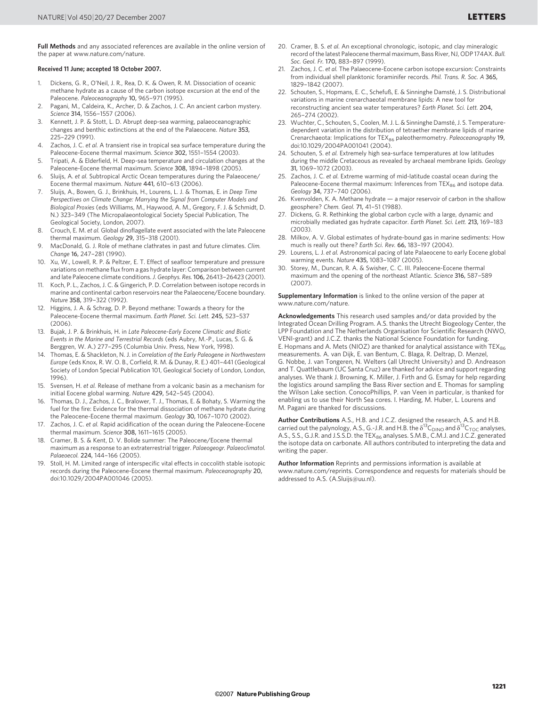Full Methods and any associated references are available in the online version of the paper at<www.nature.com/nature>.

#### Received 11 June; accepted 18 October 2007.

- 1. Dickens, G. R., O'Neil, J. R., Rea, D. K. & Owen, R. M. Dissociation of oceanic methane hydrate as a cause of the carbon isotope excursion at the end of the Paleocene. Paleoceanography 10, 965–971 (1995).
- 2. Pagani, M., Caldeira, K., Archer, D. & Zachos, J. C. An ancient carbon mystery. Science 314, 1556–1557 (2006).
- 3. Kennett, J. P. & Stott, L. D. Abrupt deep-sea warming, palaeoceanographic changes and benthic extinctions at the end of the Palaeocene. Nature 353, 225–229 (1991).
- 4. Zachos, J. C. et al. A transient rise in tropical sea surface temperature during the Paleocene-Eocene thermal maximum. Science 302, 1551–1554 (2003).
- 5. Tripati, A. & Elderfield, H. Deep-sea temperature and circulation changes at the Paleocene-Eocene thermal maximum. Science 308, 1894–1898 (2005).
- 6. Sluijs, A. et al. Subtropical Arctic Ocean temperatures during the Palaeocene/ Eocene thermal maximum. Nature 441, 610–613 (2006).
- 7. Sluijs, A., Bowen, G. J., Brinkhuis, H., Lourens, L. J. & Thomas, E. in Deep Time Perspectives on Climate Change: Marrying the Signal from Computer Models and Biological Proxies (eds Williams, M., Haywood, A. M., Gregory, F. J. & Schmidt, D. N.) 323–349 (The Micropalaeontological Society Special Publication, The Geological Society, London, 2007).
- 8. Crouch, E. M. et al. Global dinoflagellate event associated with the late Paleocene thermal maximum. Geology 29, 315–318 (2001).
- 9. MacDonald, G. J. Role of methane clathrates in past and future climates. Clim. Change 16, 247–281 (1990).
- 10. Xu, W., Lowell, R. P. & Peltzer, E. T. Effect of seafloor temperature and pressure variations on methane flux from a gas hydrate layer: Comparison between current and late Paleocene climate conditions. J. Geophys. Res. 106, 26413–26423 (2001).
- 11. Koch, P. L., Zachos, J. C. & Gingerich, P. D. Correlation between isotope records in marine and continental carbon reservoirs near the Palaeocene/Eocene boundary. Nature 358, 319–322 (1992).
- Higgins, J. A. & Schrag, D. P. Beyond methane: Towards a theory for the Paleocene-Eocene thermal maximum. Earth Planet. Sci. Lett. 245, 523–537  $(2006)$
- 13. Bujak, J. P. & Brinkhuis, H. in Late Paleocene-Early Eocene Climatic and Biotic Events in the Marine and Terrestrial Records (eds Aubry, M.-P., Lucas, S. G. & Berggren, W. A.) 277–295 (Columbia Univ. Press, New York, 1998).
- 14. Thomas, E. & Shackleton, N. J. in Correlation of the Early Paleogene in Northwestern Europe (eds Knox, R. W. O. B., Corfield, R. M. & Dunay, R. E.) 401–441 (Geological Society of London Special Publication 101, Geological Society of London, London, 1996).
- 15. Svensen, H. et al. Release of methane from a volcanic basin as a mechanism for initial Eocene global warming. Nature 429, 542–545 (2004).
- 16. Thomas, D. J., Zachos, J. C., Bralower, T. J., Thomas, E. & Bohaty, S. Warming the fuel for the fire: Evidence for the thermal dissociation of methane hydrate during the Paleocene-Eocene thermal maximum. Geology 30, 1067–1070 (2002).
- 17. Zachos, J. C. et al. Rapid acidification of the ocean during the Paleocene-Eocene thermal maximum. Science 308, 1611–1615 (2005).
- 18. Cramer, B. S. & Kent, D. V. Bolide summer: The Paleocene/Eocene thermal maximum as a response to an extraterrestrial trigger. Palaeogeogr. Palaeoclimatol. Palaeoecol. 224, 144–166 (2005).
- 19. Stoll, H. M. Limited range of interspecific vital effects in coccolith stable isotopic records during the Paleocene-Eocene thermal maximum. Paleoceanography 20, doi:10.1029/2004PA001046 (2005).
- 20. Cramer, B. S. et al. An exceptional chronologic, isotopic, and clay mineralogic record of the latest Paleocene thermal maximum, Bass River, NJ, ODP 174AX. Bull. Soc. Geol. Fr. 170, 883–897 (1999).
- 21. Zachos, J. C. et al. The Palaeocene-Eocene carbon isotope excursion: Constraints from individual shell planktonic foraminifer records. Phil. Trans. R. Soc. A 365, 1829–1842 (2007).
- 22. Schouten, S., Hopmans, E. C., Schefuß, E. & Sinninghe Damsté, J. S. Distributional variations in marine crenarchaeotal membrane lipids: A new tool for reconstructing ancient sea water temperatures? Earth Planet. Sci. Lett. 204, 265–274 (2002).
- 23. Wuchter, C., Schouten, S., Coolen, M. J. L. & Sinninghe Damsté, J. S. Temperaturedependent variation in the distribution of tetraether membrane lipids of marine Crenarchaeota: Implications for TEX<sub>86</sub> paleothermometry. Paleoceanography 19, doi:10.1029/2004PA001041 (2004).
- 24. Schouten, S. et al. Extremely high sea-surface temperatures at low latitudes during the middle Cretaceous as revealed by archaeal membrane lipids. Geology 31, 1069–1072 (2003).
- 25. Zachos, J. C. et al. Extreme warming of mid-latitude coastal ocean during the Paleocene-Eocene thermal maximum: Inferences from  $TEX_{86}$  and isotope data. Geology 34, 737–740 (2006).
- 26. Kvenvolden, K. A. Methane hydrate a major reservoir of carbon in the shallow geosphere? Chem. Geol. 71, 41–51 (1988).
- 27. Dickens, G. R. Rethinking the global carbon cycle with a large, dynamic and microbially mediated gas hydrate capacitor. Earth Planet. Sci. Lett. 213, 169–183 (2003).
- 28. Milkov, A. V. Global estimates of hydrate-bound gas in marine sediments: How much is really out there? Earth Sci. Rev. 66, 183–197 (2004).
- 29. Lourens, L. J. et al. Astronomical pacing of late Palaeocene to early Eocene global warming events. Nature 435, 1083–1087 (2005).
- 30. Storey, M., Duncan, R. A. & Swisher, C. C. III. Paleocene-Eocene thermal maximum and the opening of the northeast Atlantic. Science 316, 587–589 (2007).

Supplementary Information is linked to the online version of the paper at <www.nature.com/nature>.

Acknowledgements This research used samples and/or data provided by the Integrated Ocean Drilling Program. A.S. thanks the Utrecht Biogeology Center, the LPP Foundation and The Netherlands Organisation for Scientific Research (NWO, VENI-grant) and J.C.Z. thanks the National Science Foundation for funding. E. Hopmans and A. Mets (NIOZ) are thanked for analytical assistance with  $TEX_{86}$ measurements. A. van Dijk, E. van Bentum, C. Blaga, R. Deltrap, D. Menzel, G. Nobbe, J. van Tongeren, N. Welters (all Utrecht University) and D. Andreason and T. Quattlebaum (UC Santa Cruz) are thanked for advice and support regarding analyses. We thank J. Browning, K. Miller, J. Firth and G. Esmay for help regarding the logistics around sampling the Bass River section and E. Thomas for sampling the Wilson Lake section. ConocoPhillips, P. van Veen in particular, is thanked for enabling us to use their North Sea cores. I. Harding, M. Huber, L. Lourens and M. Pagani are thanked for discussions.

Author Contributions A.S., H.B. and J.C.Z. designed the research, A.S. and H.B. carried out the palynology, A.S., G.-J.R. and H.B. the  $\delta^{13}C_{DINO}$  and  $\delta^{13}C_{TOC}$  analyses, A.S., S.S., G.J.R. and J.S.S.D. the TEX<sub>86</sub> analyses. S.M.B., C.M.J. and J.C.Z. generated the isotope data on carbonate. All authors contributed to interpreting the data and writing the paper.

Author Information Reprints and permissions information is available at <www.nature.com/reprints>. Correspondence and requests for materials should be addressed to A.S. [\(A.Sluijs@uu.nl\)](mailto:A.Sluijs@uu.nl).